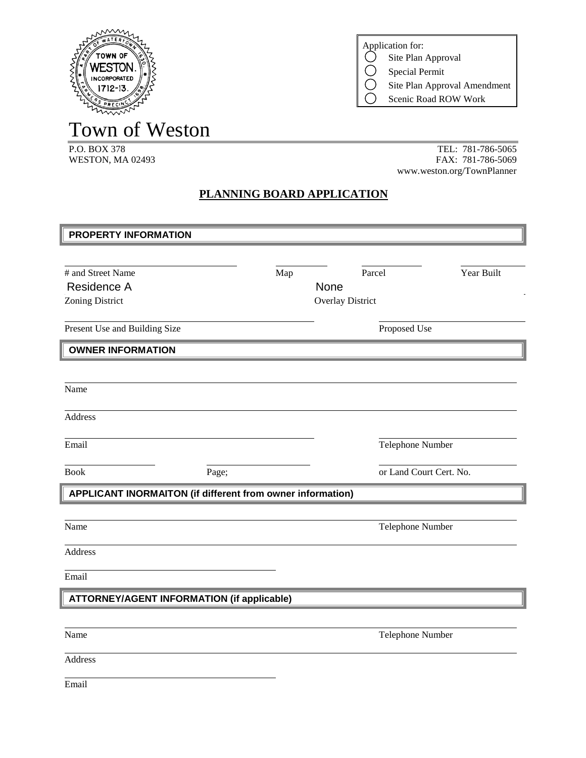

Town of Weston

TEL: 781-786-5065 WESTON, MA 02493 FAX: 781-786-5069 www.weston.org/TownPlanner

Site Plan Approval Amendment Scenic Road ROW Work

Application for:<br>  $\bigcirc$  Site Plan

 $\bigcirc$ 

Site Plan Approval Special Permit

## **PLANNING BOARD APPLICATION**

| <b>PROPERTY INFORMATION</b>                                |       |                         |            |  |
|------------------------------------------------------------|-------|-------------------------|------------|--|
|                                                            |       |                         |            |  |
| # and Street Name                                          | Map   | Parcel                  | Year Built |  |
| Residence A                                                |       | None                    |            |  |
| Zoning District                                            |       | <b>Overlay District</b> |            |  |
|                                                            |       |                         |            |  |
| Present Use and Building Size                              |       | Proposed Use            |            |  |
| <b>OWNER INFORMATION</b>                                   |       |                         |            |  |
|                                                            |       |                         |            |  |
| Name                                                       |       |                         |            |  |
|                                                            |       |                         |            |  |
| <b>Address</b>                                             |       |                         |            |  |
|                                                            |       |                         |            |  |
| Email                                                      |       | Telephone Number        |            |  |
| <b>Book</b>                                                | Page; | or Land Court Cert. No. |            |  |
| APPLICANT INORMAITON (if different from owner information) |       |                         |            |  |
|                                                            |       |                         |            |  |
| Name                                                       |       |                         |            |  |
|                                                            |       | Telephone Number        |            |  |
| Address                                                    |       |                         |            |  |
|                                                            |       |                         |            |  |
| Email                                                      |       |                         |            |  |
| <b>ATTORNEY/AGENT INFORMATION (if applicable)</b>          |       |                         |            |  |
|                                                            |       |                         |            |  |
| Name                                                       |       | Telephone Number        |            |  |
|                                                            |       |                         |            |  |
| Address                                                    |       |                         |            |  |
| Email                                                      |       |                         |            |  |